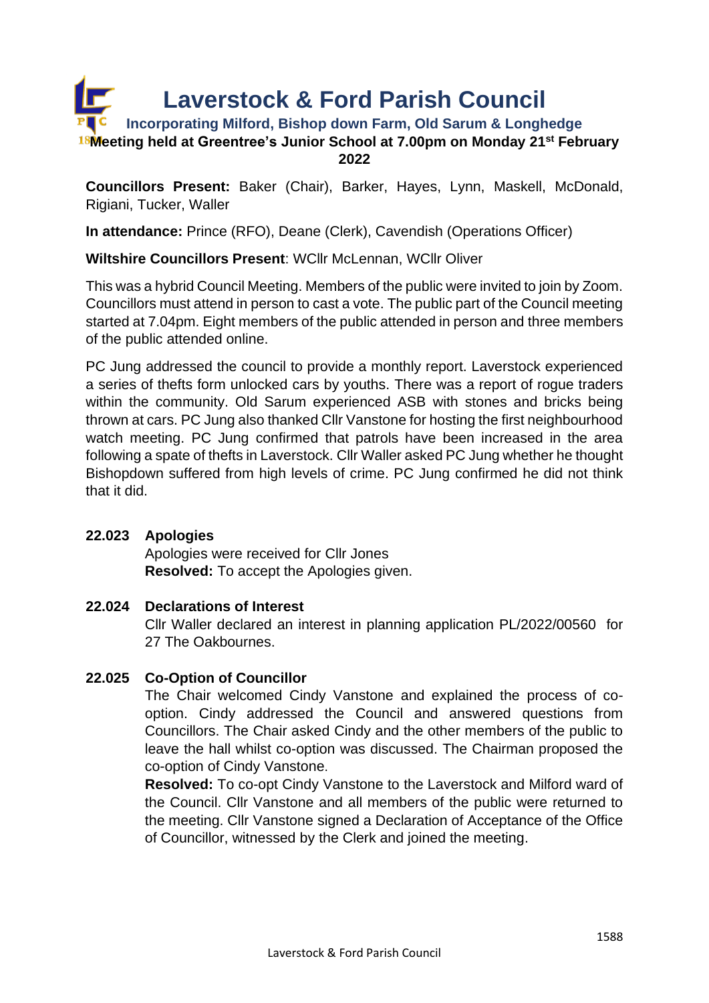

**Councillors Present:** Baker (Chair), Barker, Hayes, Lynn, Maskell, McDonald, Rigiani, Tucker, Waller

**In attendance:** Prince (RFO), Deane (Clerk), Cavendish (Operations Officer)

## **Wiltshire Councillors Present**: WCllr McLennan, WCllr Oliver

This was a hybrid Council Meeting. Members of the public were invited to join by Zoom. Councillors must attend in person to cast a vote. The public part of the Council meeting started at 7.04pm. Eight members of the public attended in person and three members of the public attended online.

PC Jung addressed the council to provide a monthly report. Laverstock experienced a series of thefts form unlocked cars by youths. There was a report of rogue traders within the community. Old Sarum experienced ASB with stones and bricks being thrown at cars. PC Jung also thanked Cllr Vanstone for hosting the first neighbourhood watch meeting. PC Jung confirmed that patrols have been increased in the area following a spate of thefts in Laverstock. Cllr Waller asked PC Jung whether he thought Bishopdown suffered from high levels of crime. PC Jung confirmed he did not think that it did.

# **22.023 Apologies**

Apologies were received for Cllr Jones **Resolved:** To accept the Apologies given.

## **22.024 Declarations of Interest**

Cllr Waller declared an interest in planning application PL/2022/00560 for 27 The Oakbournes.

## **22.025 Co-Option of Councillor**

The Chair welcomed Cindy Vanstone and explained the process of cooption. Cindy addressed the Council and answered questions from Councillors. The Chair asked Cindy and the other members of the public to leave the hall whilst co-option was discussed. The Chairman proposed the co-option of Cindy Vanstone.

**Resolved:** To co-opt Cindy Vanstone to the Laverstock and Milford ward of the Council. Cllr Vanstone and all members of the public were returned to the meeting. Cllr Vanstone signed a Declaration of Acceptance of the Office of Councillor, witnessed by the Clerk and joined the meeting.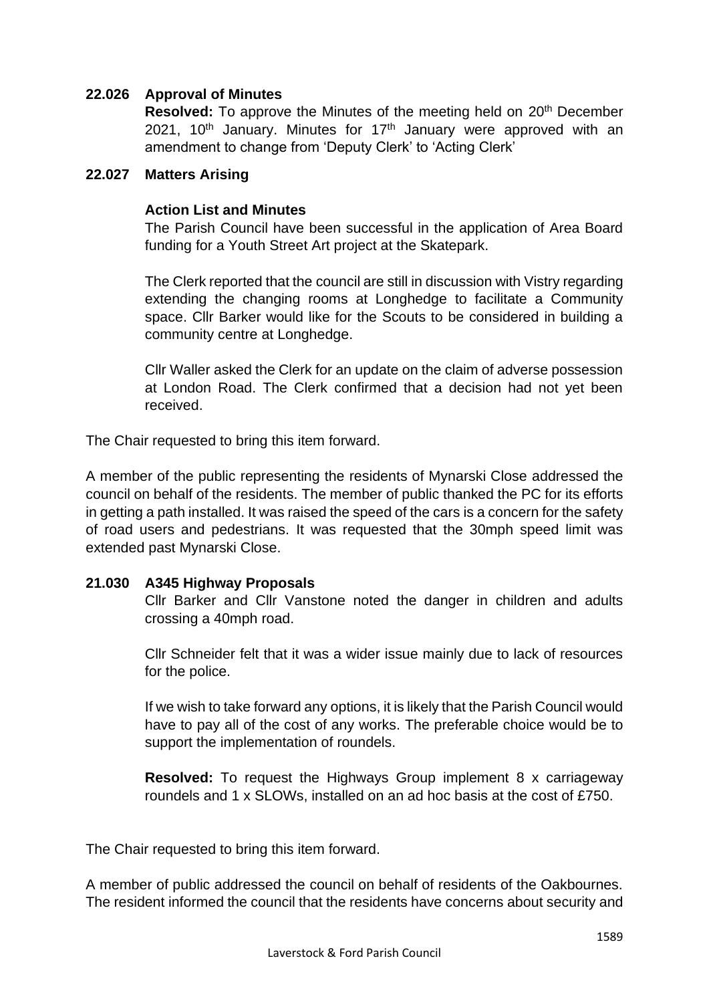## **22.026 Approval of Minutes**

**Resolved:** To approve the Minutes of the meeting held on 20<sup>th</sup> December 2021, 10<sup>th</sup> January. Minutes for 17<sup>th</sup> January were approved with an amendment to change from 'Deputy Clerk' to 'Acting Clerk'

#### **22.027 Matters Arising**

#### **Action List and Minutes**

The Parish Council have been successful in the application of Area Board funding for a Youth Street Art project at the Skatepark.

The Clerk reported that the council are still in discussion with Vistry regarding extending the changing rooms at Longhedge to facilitate a Community space. Cllr Barker would like for the Scouts to be considered in building a community centre at Longhedge.

Cllr Waller asked the Clerk for an update on the claim of adverse possession at London Road. The Clerk confirmed that a decision had not yet been received.

The Chair requested to bring this item forward.

A member of the public representing the residents of Mynarski Close addressed the council on behalf of the residents. The member of public thanked the PC for its efforts in getting a path installed. It was raised the speed of the cars is a concern for the safety of road users and pedestrians. It was requested that the 30mph speed limit was extended past Mynarski Close.

## **21.030 A345 Highway Proposals**

Cllr Barker and Cllr Vanstone noted the danger in children and adults crossing a 40mph road.

Cllr Schneider felt that it was a wider issue mainly due to lack of resources for the police.

If we wish to take forward any options, it is likely that the Parish Council would have to pay all of the cost of any works. The preferable choice would be to support the implementation of roundels.

**Resolved:** To request the Highways Group implement 8 x carriageway roundels and 1 x SLOWs, installed on an ad hoc basis at the cost of £750.

The Chair requested to bring this item forward.

A member of public addressed the council on behalf of residents of the Oakbournes. The resident informed the council that the residents have concerns about security and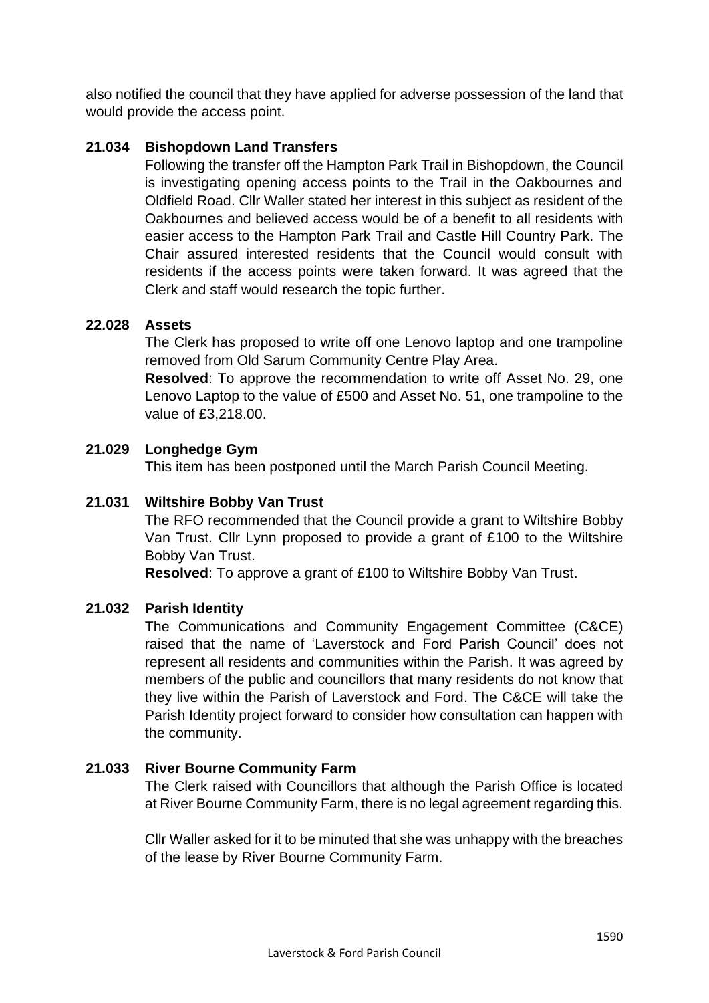also notified the council that they have applied for adverse possession of the land that would provide the access point.

## **21.034 Bishopdown Land Transfers**

Following the transfer off the Hampton Park Trail in Bishopdown, the Council is investigating opening access points to the Trail in the Oakbournes and Oldfield Road. Cllr Waller stated her interest in this subject as resident of the Oakbournes and believed access would be of a benefit to all residents with easier access to the Hampton Park Trail and Castle Hill Country Park. The Chair assured interested residents that the Council would consult with residents if the access points were taken forward. It was agreed that the Clerk and staff would research the topic further.

## **22.028 Assets**

The Clerk has proposed to write off one Lenovo laptop and one trampoline removed from Old Sarum Community Centre Play Area.

**Resolved**: To approve the recommendation to write off Asset No. 29, one Lenovo Laptop to the value of £500 and Asset No. 51, one trampoline to the value of £3,218.00.

## **21.029 Longhedge Gym**

This item has been postponed until the March Parish Council Meeting.

## **21.031 Wiltshire Bobby Van Trust**

The RFO recommended that the Council provide a grant to Wiltshire Bobby Van Trust. Cllr Lynn proposed to provide a grant of £100 to the Wiltshire Bobby Van Trust.

**Resolved**: To approve a grant of £100 to Wiltshire Bobby Van Trust.

## **21.032 Parish Identity**

The Communications and Community Engagement Committee (C&CE) raised that the name of 'Laverstock and Ford Parish Council' does not represent all residents and communities within the Parish. It was agreed by members of the public and councillors that many residents do not know that they live within the Parish of Laverstock and Ford. The C&CE will take the Parish Identity project forward to consider how consultation can happen with the community.

## **21.033 River Bourne Community Farm**

The Clerk raised with Councillors that although the Parish Office is located at River Bourne Community Farm, there is no legal agreement regarding this.

Cllr Waller asked for it to be minuted that she was unhappy with the breaches of the lease by River Bourne Community Farm.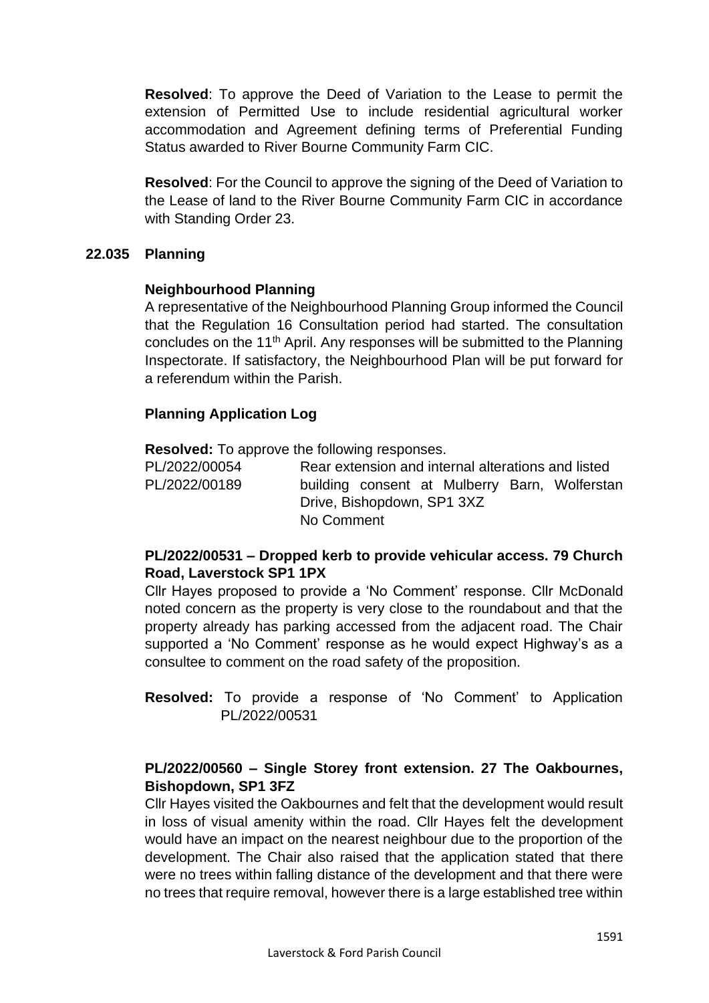**Resolved**: To approve the Deed of Variation to the Lease to permit the extension of Permitted Use to include residential agricultural worker accommodation and Agreement defining terms of Preferential Funding Status awarded to River Bourne Community Farm CIC.

**Resolved**: For the Council to approve the signing of the Deed of Variation to the Lease of land to the River Bourne Community Farm CIC in accordance with Standing Order 23.

## **22.035 Planning**

## **Neighbourhood Planning**

A representative of the Neighbourhood Planning Group informed the Council that the Regulation 16 Consultation period had started. The consultation concludes on the 11<sup>th</sup> April. Any responses will be submitted to the Planning Inspectorate. If satisfactory, the Neighbourhood Plan will be put forward for a referendum within the Parish.

## **Planning Application Log**

**Resolved:** To approve the following responses.

PL/2022/00054 Rear extension and internal alterations and listed PL/2022/00189 building consent at Mulberry Barn, Wolferstan Drive, Bishopdown, SP1 3XZ No Comment

# **PL/2022/00531 – Dropped kerb to provide vehicular access. 79 Church Road, Laverstock SP1 1PX**

Cllr Hayes proposed to provide a 'No Comment' response. Cllr McDonald noted concern as the property is very close to the roundabout and that the property already has parking accessed from the adjacent road. The Chair supported a 'No Comment' response as he would expect Highway's as a consultee to comment on the road safety of the proposition.

**Resolved:** To provide a response of 'No Comment' to Application PL/2022/00531

# **PL/2022/00560 – Single Storey front extension. 27 The Oakbournes, Bishopdown, SP1 3FZ**

Cllr Hayes visited the Oakbournes and felt that the development would result in loss of visual amenity within the road. Cllr Hayes felt the development would have an impact on the nearest neighbour due to the proportion of the development. The Chair also raised that the application stated that there were no trees within falling distance of the development and that there were no trees that require removal, however there is a large established tree within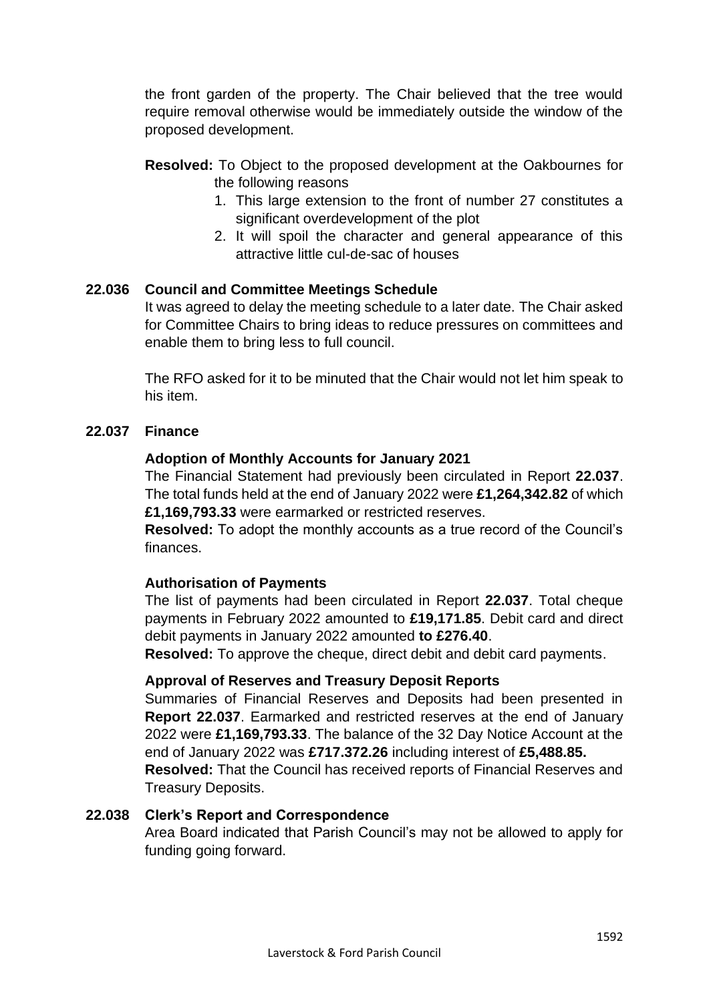the front garden of the property. The Chair believed that the tree would require removal otherwise would be immediately outside the window of the proposed development.

- **Resolved:** To Object to the proposed development at the Oakbournes for the following reasons
	- 1. This large extension to the front of number 27 constitutes a significant overdevelopment of the plot
	- 2. It will spoil the character and general appearance of this attractive little cul-de-sac of houses

## **22.036 Council and Committee Meetings Schedule**

It was agreed to delay the meeting schedule to a later date. The Chair asked for Committee Chairs to bring ideas to reduce pressures on committees and enable them to bring less to full council.

The RFO asked for it to be minuted that the Chair would not let him speak to his item.

## **22.037 Finance**

#### **Adoption of Monthly Accounts for January 2021**

The Financial Statement had previously been circulated in Report **22.037**. The total funds held at the end of January 2022 were **£1,264,342.82** of which **£1,169,793.33** were earmarked or restricted reserves.

**Resolved:** To adopt the monthly accounts as a true record of the Council's finances.

#### **Authorisation of Payments**

The list of payments had been circulated in Report **22.037**. Total cheque payments in February 2022 amounted to **£19,171.85**. Debit card and direct debit payments in January 2022 amounted **to £276.40**.

**Resolved:** To approve the cheque, direct debit and debit card payments.

#### **Approval of Reserves and Treasury Deposit Reports**

Summaries of Financial Reserves and Deposits had been presented in **Report 22.037**. Earmarked and restricted reserves at the end of January 2022 were **£1,169,793.33**. The balance of the 32 Day Notice Account at the end of January 2022 was **£717.372.26** including interest of **£5,488.85.**

**Resolved:** That the Council has received reports of Financial Reserves and Treasury Deposits.

#### **22.038 Clerk's Report and Correspondence**

Area Board indicated that Parish Council's may not be allowed to apply for funding going forward.